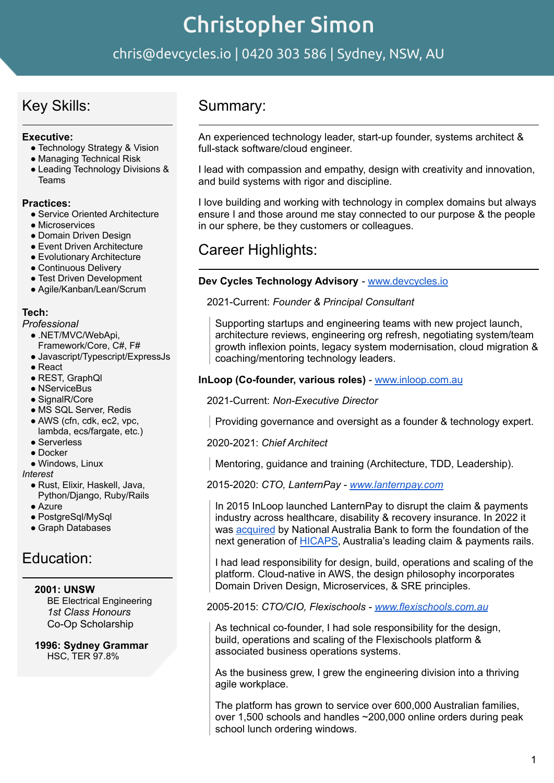# Key Skills:

### **Executive:**

- Technology Strategy & Vision
- Managing Technical Risk
- Leading Technology Divisions & Teams

### **Practices:**

- Service Oriented Architecture
- Microservices
- Domain Driven Design
- Event Driven Architecture
- Evolutionary Architecture
- Continuous Delivery
- Test Driven Development
- Agile/Kanban/Lean/Scrum

### **Tech:**

*Professional*

- .NET/MVC/WebApi,
- Framework/Core, C#, F#
- Javascript/Typescript/ExpressJs ● React
- 
- REST, GraphQl
- NServiceBus
- SignalR/Core
- MS SQL Server, Redis
- AWS (cfn, cdk, ec2, vpc, lambda, ecs/fargate, etc.)
- Serverless
- Docker
- Windows, Linux

*Interest*

- Rust, Elixir, Haskell, Java, Python/Django, Ruby/Rails
- Azure
- PostgreSql/MySql
- Graph Databases

# Education:

### **2001: UNSW**

BE Electrical Engineering *1st Class Honours* Co-Op Scholarship

**1996: Sydney Grammar** HSC, TER 97.8%

# Summary:

An experienced technology leader, start-up founder, systems architect & full-stack software/cloud engineer.

I lead with compassion and empathy, design with creativity and innovation, and build systems with rigor and discipline.

I love building and working with technology in complex domains but always ensure I and those around me stay connected to our purpose & the people in our sphere, be they customers or colleagues.

# Career Highlights:

### **Dev Cycles Technology Advisory** - [www.devcycles.io](http://www.devcycles.io/page/consulting)

2021-Current: *Founder & Principal Consultant*

Supporting startups and engineering teams with new project launch, architecture reviews, engineering org refresh, negotiating system/team growth inflexion points, legacy system modernisation, cloud migration & coaching/mentoring technology leaders.

### **InLoop (Co-founder, various roles)** - [www.inloop.com.au](http://www.inloop.com.au)

### 2021-Current: *Non-Executive Director*

Providing governance and oversight as a founder & technology expert.

### 2020-2021: *Chief Architect*

Mentoring, guidance and training (Architecture, TDD, Leadership).

### 2015-2020: *CTO, LanternPay - [www.lanternpay.com](http://www.lanternpay.com)*

In 2015 InLoop launched LanternPay to disrupt the claim & payments industry across healthcare, disability & recovery insurance. In 2022 it was [acquired](https://www.afr.com/companies/financial-services/nab-buys-lanternpay-to-maintain-hicaps-dominance-20220112-p59nmy) by National Australia Bank to form the foundation of the next generation of [HICAPS,](https://www.hicaps.com.au/) Australia's leading claim & payments rails.

I had lead responsibility for design, build, operations and scaling of the platform. Cloud-native in AWS, the design philosophy incorporates Domain Driven Design, Microservices, & SRE principles.

### 2005-2015: *CTO/CIO, Flexischools - [www.flexischools.com.au](http://www.flexischools.com.au)*

As technical co-founder, I had sole responsibility for the design, build, operations and scaling of the Flexischools platform & associated business operations systems.

As the business grew, I grew the engineering division into a thriving agile workplace.

The platform has grown to service over 600,000 Australian families, over 1,500 schools and handles ~200,000 online orders during peak school lunch ordering windows.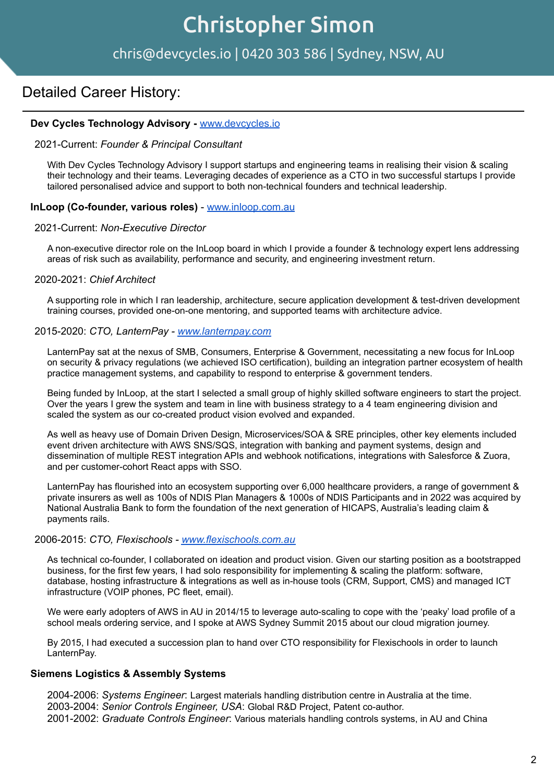# chris@devcycles.io | 0420 303 586 | Sydney, NSW, AU

## Detailed Career History:

#### **Dev Cycles Technology Advisory -** [www.devcycles.io](http://www.devcycles.io/page/consulting)

#### 2021-Current: *Founder & Principal Consultant*

With Dev Cycles Technology Advisory I support startups and engineering teams in realising their vision & scaling their technology and their teams. Leveraging decades of experience as a CTO in two successful startups I provide tailored personalised advice and support to both non-technical founders and technical leadership.

#### **InLoop (Co-founder, various roles)** - [www.inloop.com.au](http://www.inloop.com.au)

#### 2021-Current: *Non-Executive Director*

A non-executive director role on the InLoop board in which I provide a founder & technology expert lens addressing areas of risk such as availability, performance and security, and engineering investment return.

#### 2020-2021: *Chief Architect*

A supporting role in which I ran leadership, architecture, secure application development & test-driven development training courses, provided one-on-one mentoring, and supported teams with architecture advice.

#### 2015-2020: *CTO, LanternPay - [www.lanternpay.com](http://www.lanternpay.com)*

LanternPay sat at the nexus of SMB, Consumers, Enterprise & Government, necessitating a new focus for InLoop on security & privacy regulations (we achieved ISO certification), building an integration partner ecosystem of health practice management systems, and capability to respond to enterprise & government tenders.

Being funded by InLoop, at the start I selected a small group of highly skilled software engineers to start the project. Over the years I grew the system and team in line with business strategy to a 4 team engineering division and scaled the system as our co-created product vision evolved and expanded.

As well as heavy use of Domain Driven Design, Microservices/SOA & SRE principles, other key elements included event driven architecture with AWS SNS/SQS, integration with banking and payment systems, design and dissemination of multiple REST integration APIs and webhook notifications, integrations with Salesforce & Zuora, and per customer-cohort React apps with SSO.

LanternPay has flourished into an ecosystem supporting over 6,000 healthcare providers, a range of government & private insurers as well as 100s of NDIS Plan Managers & 1000s of NDIS Participants and in 2022 was acquired by National Australia Bank to form the foundation of the next generation of HICAPS, Australia's leading claim & payments rails.

#### 2006-2015: *CTO, Flexischools - [www.flexischools.com.au](http://www.flexischools.com.au)*

As technical co-founder, I collaborated on ideation and product vision. Given our starting position as a bootstrapped business, for the first few years, I had solo responsibility for implementing & scaling the platform: software, database, hosting infrastructure & integrations as well as in-house tools (CRM, Support, CMS) and managed ICT infrastructure (VOIP phones, PC fleet, email).

We were early adopters of AWS in AU in 2014/15 to leverage auto-scaling to cope with the 'peaky' load profile of a school meals ordering service, and I spoke at AWS Sydney Summit 2015 about our cloud migration journey.

By 2015, I had executed a succession plan to hand over CTO responsibility for Flexischools in order to launch LanternPay.

### **Siemens Logistics & Assembly Systems**

2004-2006: *Systems Engineer*: Largest materials handling distribution centre in Australia at the time. 2003-2004: *Senior Controls Engineer, USA*: Global R&D Project, Patent co-author. 2001-2002: *Graduate Controls Engineer*: Various materials handling controls systems, in AU and China